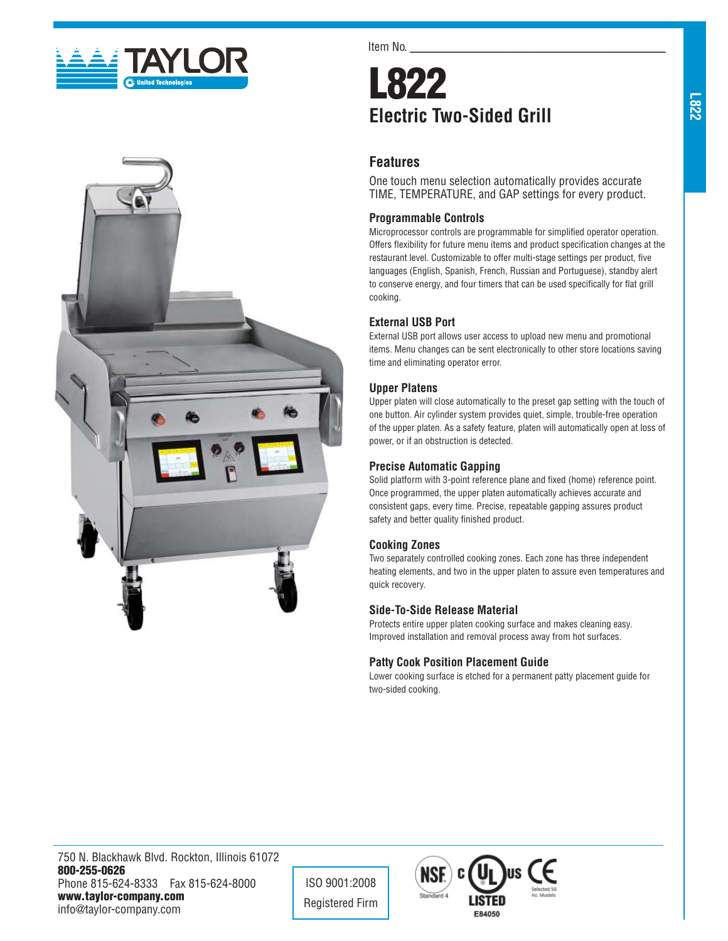



Item No.

# **L822 Electric Two-Sided Grill**

## **Features**

One touch menu selection automatically provides accurate TIME, TEMPERATURE, and GAP settings for every product.

## **Programmable Controls**

Microprocessor controls are programmable for simplified operator operation. Offers flexibility for future menu items and product specification changes at the restaurant level. Customizable to offer multi-stage settings per product, five languages (English, Spanish, French, Russian and Portuguese), standby alert to conserve energy, and four timers that can be used specifically for flat grill cooking.

## **External USB Port**

External USB port allows user access to upload new menu and promotional items. Menu changes can be sent electronically to other store locations saving time and eliminating operator error.

#### **Upper Platens**

Upper platen will close automatically to the preset gap setting with the touch of one button. Air cylinder system provides quiet, simple, trouble-free operation of the upper platen. As a safety feature, platen will automatically open at loss of power, or if an obstruction is detected.

#### **Precise Automatic Gapping**

Solid platform with 3-point reference plane and fixed (home) reference point. Once programmed, the upper platen automatically achieves accurate and consistent gaps, every time. Precise, repeatable gapping assures product safety and better quality finished product.

#### **Cooking Zones**

Two separately controlled cooking zones. Each zone has three independent heating elements, and two in the upper platen to assure even temperatures and quick recovery.

#### **Side-To-Side Release Material**

Protects entire upper platen cooking surface and makes cleaning easy. Improved installation and removal process away from hot surfaces.

## **Patty Cook Position Placement Guide**

Lower cooking surface is etched for a permanent patty placement guide for two-sided cooking.

750 N. Blackhawk Blvd. Rockton, Illinois 61072 **800-255-0626** Phone 815-624-8333 Fax 815-624-8000 **www.taylor-company.com** info@taylor-company.com

ISO 9001:2008 Registered Firm